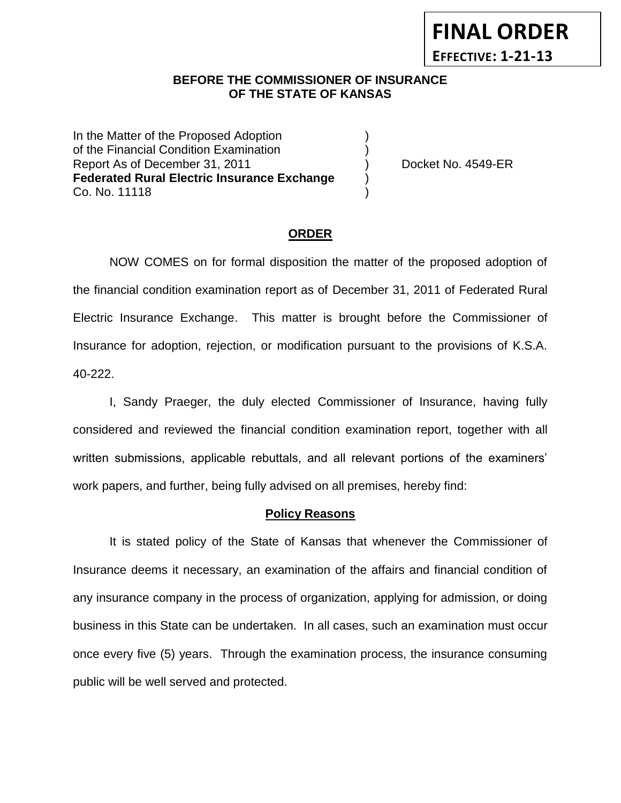### **BEFORE THE COMMISSIONER OF INSURANCE** *-12***OF THE STATE OF KANSAS**

In the Matter of the Proposed Adoption (1) of the Financial Condition Examination ) Report As of December 31, 2011 (and Separation Control of Assember 31, 2011) (b) Docket No. 4549-ER **Federated Rural Electric Insurance Exchange** ) Co. No. 11118 )

**FINAL ORDER**

**EFFECTIVE: 1-21-13**

#### **ORDER**

NOW COMES on for formal disposition the matter of the proposed adoption of the financial condition examination report as of December 31, 2011 of Federated Rural Electric Insurance Exchange. This matter is brought before the Commissioner of Insurance for adoption, rejection, or modification pursuant to the provisions of K.S.A. 40-222.

I, Sandy Praeger, the duly elected Commissioner of Insurance, having fully considered and reviewed the financial condition examination report, together with all written submissions, applicable rebuttals, and all relevant portions of the examiners' work papers, and further, being fully advised on all premises, hereby find:

#### **Policy Reasons**

It is stated policy of the State of Kansas that whenever the Commissioner of Insurance deems it necessary, an examination of the affairs and financial condition of any insurance company in the process of organization, applying for admission, or doing business in this State can be undertaken. In all cases, such an examination must occur once every five (5) years. Through the examination process, the insurance consuming public will be well served and protected.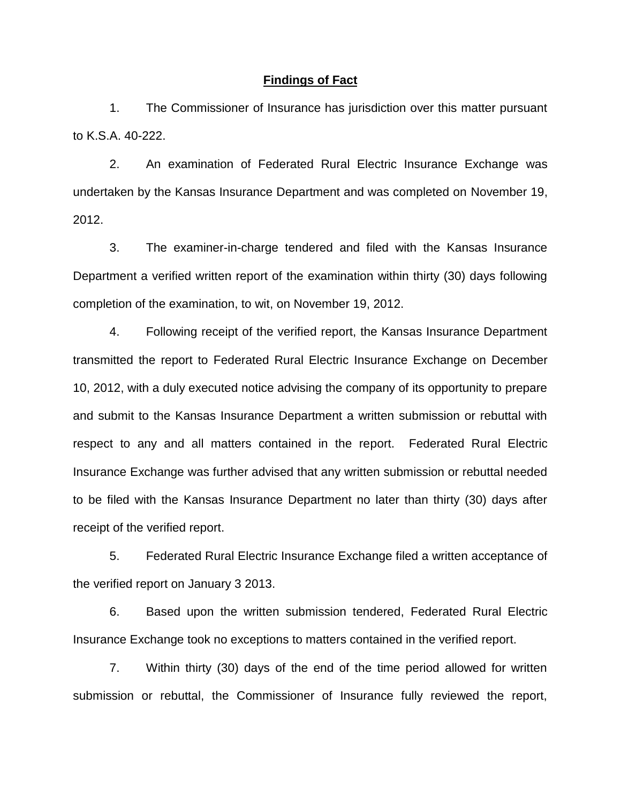#### **Findings of Fact**

1. The Commissioner of Insurance has jurisdiction over this matter pursuant to K.S.A. 40-222.

2. An examination of Federated Rural Electric Insurance Exchange was undertaken by the Kansas Insurance Department and was completed on November 19, 2012.

3. The examiner-in-charge tendered and filed with the Kansas Insurance Department a verified written report of the examination within thirty (30) days following completion of the examination, to wit, on November 19, 2012.

4. Following receipt of the verified report, the Kansas Insurance Department transmitted the report to Federated Rural Electric Insurance Exchange on December 10, 2012, with a duly executed notice advising the company of its opportunity to prepare and submit to the Kansas Insurance Department a written submission or rebuttal with respect to any and all matters contained in the report. Federated Rural Electric Insurance Exchange was further advised that any written submission or rebuttal needed to be filed with the Kansas Insurance Department no later than thirty (30) days after receipt of the verified report.

5. Federated Rural Electric Insurance Exchange filed a written acceptance of the verified report on January 3 2013.

6. Based upon the written submission tendered, Federated Rural Electric Insurance Exchange took no exceptions to matters contained in the verified report.

7. Within thirty (30) days of the end of the time period allowed for written submission or rebuttal, the Commissioner of Insurance fully reviewed the report,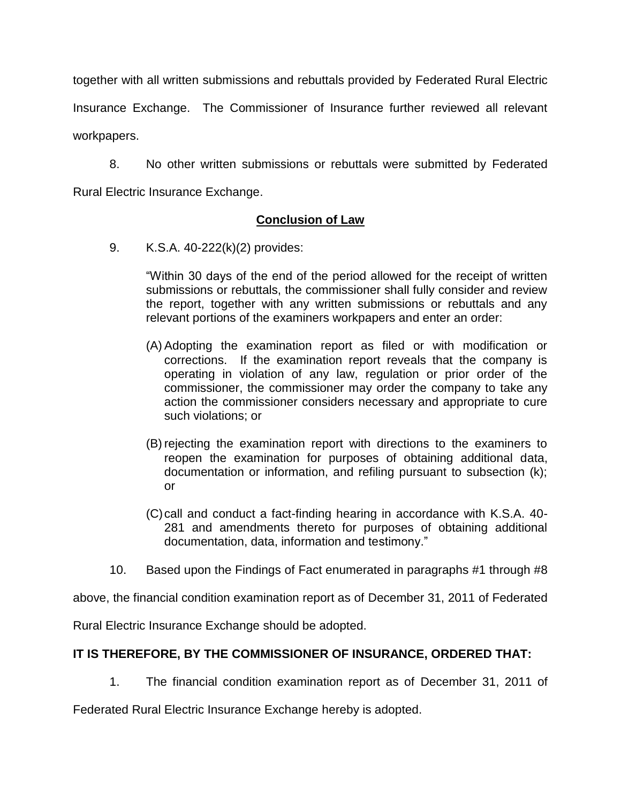together with all written submissions and rebuttals provided by Federated Rural Electric Insurance Exchange. The Commissioner of Insurance further reviewed all relevant

workpapers.

8. No other written submissions or rebuttals were submitted by Federated Rural Electric Insurance Exchange.

### **Conclusion of Law**

9. K.S.A. 40-222(k)(2) provides:

"Within 30 days of the end of the period allowed for the receipt of written submissions or rebuttals, the commissioner shall fully consider and review the report, together with any written submissions or rebuttals and any relevant portions of the examiners workpapers and enter an order:

- (A) Adopting the examination report as filed or with modification or corrections. If the examination report reveals that the company is operating in violation of any law, regulation or prior order of the commissioner, the commissioner may order the company to take any action the commissioner considers necessary and appropriate to cure such violations; or
- (B) rejecting the examination report with directions to the examiners to reopen the examination for purposes of obtaining additional data, documentation or information, and refiling pursuant to subsection (k); or
- (C)call and conduct a fact-finding hearing in accordance with K.S.A. 40- 281 and amendments thereto for purposes of obtaining additional documentation, data, information and testimony."
- 10. Based upon the Findings of Fact enumerated in paragraphs #1 through #8

above, the financial condition examination report as of December 31, 2011 of Federated

Rural Electric Insurance Exchange should be adopted.

### **IT IS THEREFORE, BY THE COMMISSIONER OF INSURANCE, ORDERED THAT:**

1. The financial condition examination report as of December 31, 2011 of

Federated Rural Electric Insurance Exchange hereby is adopted.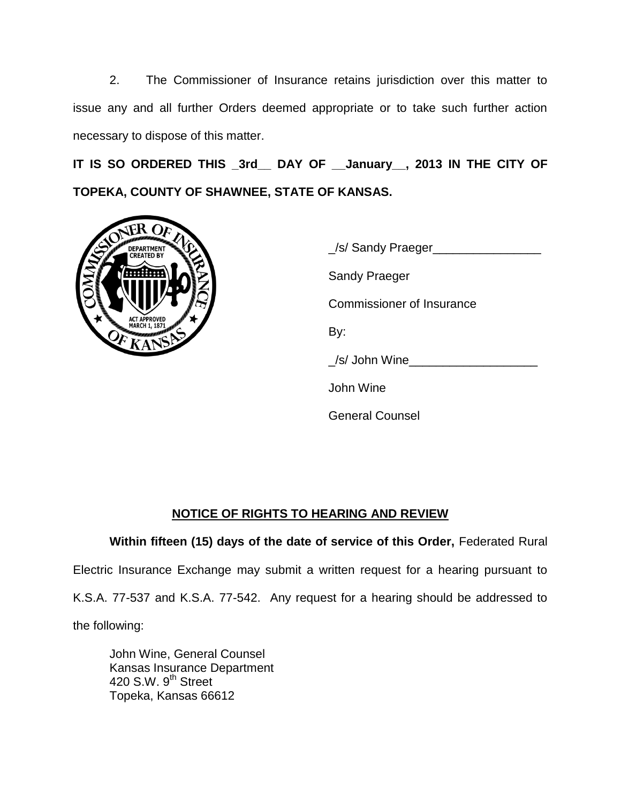2. The Commissioner of Insurance retains jurisdiction over this matter to issue any and all further Orders deemed appropriate or to take such further action necessary to dispose of this matter.

**IT IS SO ORDERED THIS \_3rd\_\_ DAY OF \_\_January\_\_, 2013 IN THE CITY OF TOPEKA, COUNTY OF SHAWNEE, STATE OF KANSAS.**



| Sel Sandy Praeger         |
|---------------------------|
| Sandy Praeger             |
| Commissioner of Insurance |
| By:                       |
| /s/ John Wine             |
| John Wine                 |
| <b>General Counsel</b>    |

# **NOTICE OF RIGHTS TO HEARING AND REVIEW**

**Within fifteen (15) days of the date of service of this Order,** Federated Rural Electric Insurance Exchange may submit a written request for a hearing pursuant to K.S.A. 77-537 and K.S.A. 77-542. Any request for a hearing should be addressed to the following:

John Wine, General Counsel Kansas Insurance Department 420 S.W. 9<sup>th</sup> Street Topeka, Kansas 66612